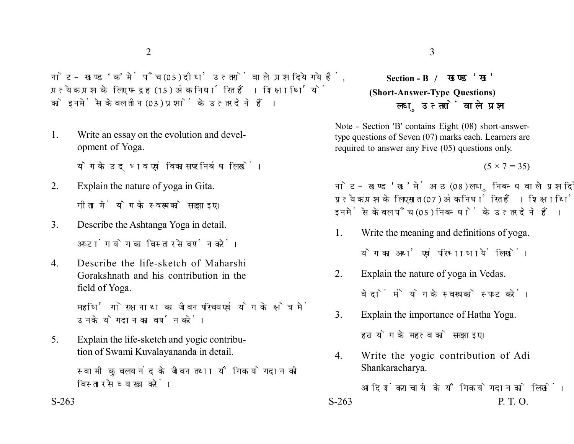नोट- खण्ड 'क' में पाँच (05) दीर्घ उत्तरों वाले प्रश्न दिये गये हैं. प्रत्येक प्रश्न के लिए पन्द्रह (15) अंक निर्धारित हैं। शिक्षार्थियों को इनमें से केवल तीन (03) प्रश्नों के उत्तर देने हैं।

1. Write an essay on the evolution and development of Yoga.

योग के उदभव एवं विकास पर निबंध लिखें।

- 2. Explain the nature of yoga in Gita. गीता में योग के स्वरूप को समझाइए।
- 3. Describe the Ashtanga Yoga in detail. अष्टांग योग का विस्तार से वर्णन करें।
- 4. Describe the life-sketch of Maharshi Gorakshnath and his contribution in the field of Yoga.

महर्षि गोरक्षनाथ का जीवन परिचय एवं योग के क्षेत्र में उनके योगदान का वर्णन करें।

5. Explain the life-sketch and yogic contribution of Swami Kuvalayananda in detail.

> स्वामी कुवलयानंद के जीवन तथा यौगिक योगदान की विस्तार से व्याख्या करें।

## **Section - B (Short-Answer-Type Questions)** लघ उत्तरों वाले प्रश्न

Note - Section 'B' contains Eight (08) short-answertype questions of Seven (07) marks each. Learners are required to answer any Five (05) questions only.

 $(5 \times 7 = 35)$ 

नोट- खण्ड 'ख' में आठ (08) लघु निबन्ध वाले प्रश्न दिये गये हैं, प्रत्येक प्रश्न के लिए सात (07) अंक निर्धारित हैं। शिक्षार्थियों को इनमें से केवल पाँच (05) निबन्धों के उत्तर देने हैं।

1. Write the meaning and definitions of yoga.

योग का अर्थ एवं परिभाषायें लिखें।

- 2. Explain the nature of yoga in Vedas. वेदों में योग के स्वरूप को स्पष्ट करें।
- 3. Explain the importance of Hatha Yoga. हठ योग के महत्व को समझाइए।
- 4. Write the yogic contribution of Adi Shankaracharya.

आदि शंकराचार्य के यौगिक योगदान को लिखें।  $S-263$  P. T. O.